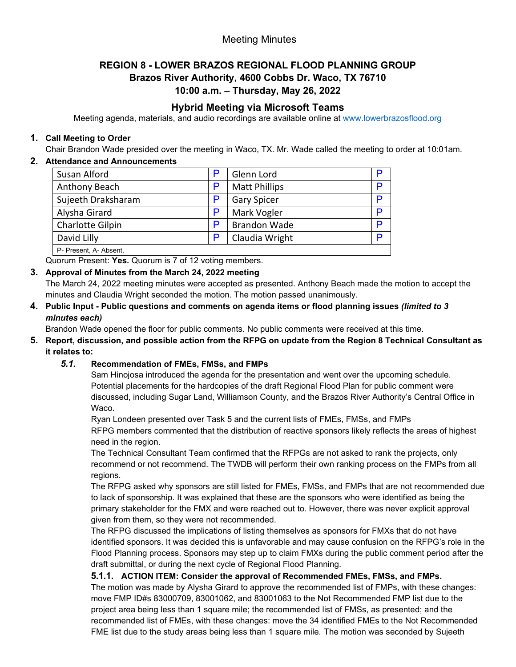## Meeting Minutes

# **REGION 8 - LOWER BRAZOS REGIONAL FLOOD PLANNING GROUP Brazos River Authority, 4600 Cobbs Dr. Waco, TX 76710**

## **10:00 a.m. – Thursday, May 26, 2022**

## **Hybrid Meeting via Microsoft Teams**

Meeting agenda, materials, and audio recordings are available online at [www.lowerbrazosflood.org](http://www.lowerbrazosflood.org/)

#### **1. Call Meeting to Order**

Chair Brandon Wade presided over the meeting in Waco, TX. Mr. Wade called the meeting to order at 10:01am.

## **2. Attendance and Announcements**

| Susan Alford           | P | Glenn Lord           |   |
|------------------------|---|----------------------|---|
| Anthony Beach          | P | <b>Matt Phillips</b> |   |
| Sujeeth Draksharam     | P | <b>Gary Spicer</b>   | P |
| Alysha Girard          | P | Mark Vogler          |   |
| Charlotte Gilpin       | P | <b>Brandon Wade</b>  | D |
| David Lilly            | P | Claudia Wright       | D |
| P- Present, A- Absent, |   |                      |   |

Quorum Present: **Yes.** Quorum is 7 of 12 voting members.

# **3. Approval of Minutes from the March 24, 2022 meeting**

The March 24, 2022 meeting minutes were accepted as presented. Anthony Beach made the motion to accept the minutes and Claudia Wright seconded the motion. The motion passed unanimously.

**4. Public Input - Public questions and comments on agenda items or flood planning issues** *(limited to 3 minutes each)*

Brandon Wade opened the floor for public comments. No public comments were received at this time.

**5. Report, discussion, and possible action from the RFPG on update from the Region 8 Technical Consultant as it relates to:**

## *5.1.* **Recommendation of FMEs, FMSs, and FMPs**

Sam Hinojosa introduced the agenda for the presentation and went over the upcoming schedule. Potential placements for the hardcopies of the draft Regional Flood Plan for public comment were discussed, including Sugar Land, Williamson County, and the Brazos River Authority's Central Office in Waco.

Ryan Londeen presented over Task 5 and the current lists of FMEs, FMSs, and FMPs RFPG members commented that the distribution of reactive sponsors likely reflects the areas of highest need in the region.

The Technical Consultant Team confirmed that the RFPGs are not asked to rank the projects, only recommend or not recommend. The TWDB will perform their own ranking process on the FMPs from all regions.

The RFPG asked why sponsors are still listed for FMEs, FMSs, and FMPs that are not recommended due to lack of sponsorship. It was explained that these are the sponsors who were identified as being the primary stakeholder for the FMX and were reached out to. However, there was never explicit approval given from them, so they were not recommended.

The RFPG discussed the implications of listing themselves as sponsors for FMXs that do not have identified sponsors. It was decided this is unfavorable and may cause confusion on the RFPG's role in the Flood Planning process. Sponsors may step up to claim FMXs during the public comment period after the draft submittal, or during the next cycle of Regional Flood Planning.

## **5.1.1. ACTION ITEM: Consider the approval of Recommended FMEs, FMSs, and FMPs.**

The motion was made by Alysha Girard to approve the recommended list of FMPs, with these changes: move FMP ID#s 83000709, 83001062, and 83001063 to the Not Recommended FMP list due to the project area being less than 1 square mile; the recommended list of FMSs, as presented; and the recommended list of FMEs, with these changes: move the 34 identified FMEs to the Not Recommended FME list due to the study areas being less than 1 square mile. The motion was seconded by Sujeeth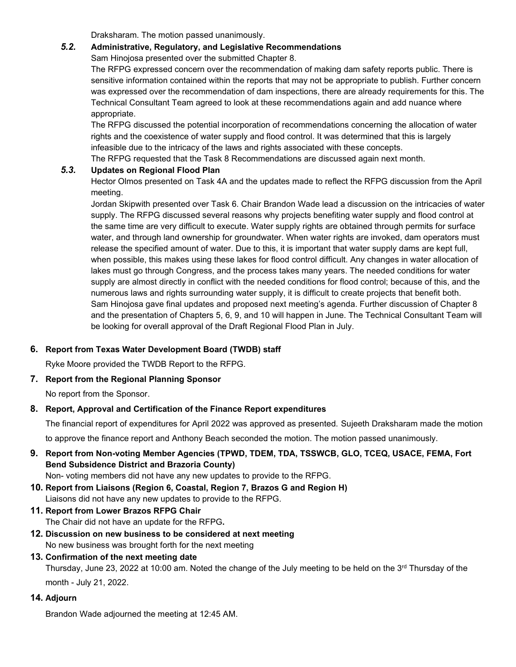Draksharam. The motion passed unanimously.

#### *5.2.* **Administrative, Regulatory, and Legislative Recommendations**

Sam Hinojosa presented over the submitted Chapter 8.

The RFPG expressed concern over the recommendation of making dam safety reports public. There is sensitive information contained within the reports that may not be appropriate to publish. Further concern was expressed over the recommendation of dam inspections, there are already requirements for this. The Technical Consultant Team agreed to look at these recommendations again and add nuance where appropriate.

The RFPG discussed the potential incorporation of recommendations concerning the allocation of water rights and the coexistence of water supply and flood control. It was determined that this is largely infeasible due to the intricacy of the laws and rights associated with these concepts.

The RFPG requested that the Task 8 Recommendations are discussed again next month.

#### *5.3.* **Updates on Regional Flood Plan**

Hector Olmos presented on Task 4A and the updates made to reflect the RFPG discussion from the April meeting.

Jordan Skipwith presented over Task 6. Chair Brandon Wade lead a discussion on the intricacies of water supply. The RFPG discussed several reasons why projects benefiting water supply and flood control at the same time are very difficult to execute. Water supply rights are obtained through permits for surface water, and through land ownership for groundwater. When water rights are invoked, dam operators must release the specified amount of water. Due to this, it is important that water supply dams are kept full, when possible, this makes using these lakes for flood control difficult. Any changes in water allocation of lakes must go through Congress, and the process takes many years. The needed conditions for water supply are almost directly in conflict with the needed conditions for flood control; because of this, and the numerous laws and rights surrounding water supply, it is difficult to create projects that benefit both. Sam Hinojosa gave final updates and proposed next meeting's agenda. Further discussion of Chapter 8 and the presentation of Chapters 5, 6, 9, and 10 will happen in June. The Technical Consultant Team will be looking for overall approval of the Draft Regional Flood Plan in July.

#### **6. Report from Texas Water Development Board (TWDB) staff**

Ryke Moore provided the TWDB Report to the RFPG.

#### **7. Report from the Regional Planning Sponsor**

No report from the Sponsor.

#### **8. Report, Approval and Certification of the Finance Report expenditures**

The financial report of expenditures for April 2022 was approved as presented. Sujeeth Draksharam made the motion to approve the finance report and Anthony Beach seconded the motion. The motion passed unanimously.

**9. Report from Non-voting Member Agencies (TPWD, TDEM, TDA, TSSWCB, GLO, TCEQ, USACE, FEMA, Fort Bend Subsidence District and Brazoria County)**

Non- voting members did not have any new updates to provide to the RFPG.

- **10. Report from Liaisons (Region 6, Coastal, Region 7, Brazos G and Region H)** Liaisons did not have any new updates to provide to the RFPG.
- **11. Report from Lower Brazos RFPG Chair** The Chair did not have an update for the RFPG**.**
- **12. Discussion on new business to be considered at next meeting**  No new business was brought forth for the next meeting
- **13. Confirmation of the next meeting date**

Thursday, June 23, 2022 at 10:00 am. Noted the change of the July meeting to be held on the 3rd Thursday of the month - July 21, 2022.

## **14. Adjourn**

Brandon Wade adjourned the meeting at 12:45 AM.